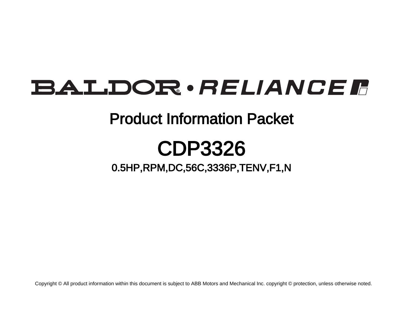## BALDOR · RELIANCE F

### Product Information Packet

## CDP3326

### 0.5HP,RPM,DC,56C,3336P,TENV,F1,N

Copyright © All product information within this document is subject to ABB Motors and Mechanical Inc. copyright © protection, unless otherwise noted.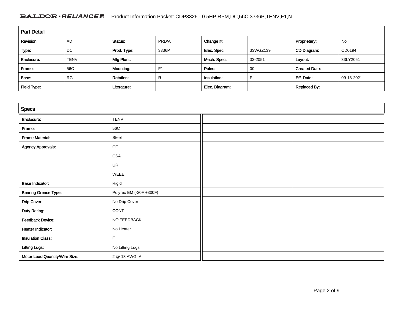### BALDOR · RELIANCE F Product Information Packet: CDP3326 - 0.5HP, RPM, DC, 56C, 3336P, TENV, F1, N

| <b>Part Detail</b> |             |                  |       |                |          |                      |            |
|--------------------|-------------|------------------|-------|----------------|----------|----------------------|------------|
| Revision:          | <b>AD</b>   | Status:          | PRD/A | Change #:      |          | Proprietary:         | No         |
| Type:              | DC          | Prod. Type:      | 3336P | Elec. Spec:    | 33WGZ139 | CD Diagram:          | CD0194     |
| Enclosure:         | <b>TENV</b> | Mfg Plant:       |       | Mech. Spec:    | 33-2051  | Layout:              | 33LY2051   |
| Frame:             | 56C         | Mounting:        | F1    | Poles:         | 00       | <b>Created Date:</b> |            |
| Base:              | <b>RG</b>   | <b>Rotation:</b> | R     | Insulation:    |          | Eff. Date:           | 09-13-2021 |
| Field Type:        |             | Literature:      |       | Elec. Diagram: |          | <b>Replaced By:</b>  |            |

| <b>Specs</b>                   |                               |  |  |
|--------------------------------|-------------------------------|--|--|
| Enclosure:                     | <b>TENV</b>                   |  |  |
| Frame:                         | 56C                           |  |  |
| <b>Frame Material:</b>         | Steel                         |  |  |
| <b>Agency Approvals:</b>       | $\mathsf{CE}% _{\mathcal{A}}$ |  |  |
|                                | $\mathsf{CSA}\xspace$         |  |  |
|                                | UR                            |  |  |
|                                | WEEE                          |  |  |
| <b>Base Indicator:</b>         | Rigid                         |  |  |
| <b>Bearing Grease Type:</b>    | Polyrex EM (-20F +300F)       |  |  |
| Drip Cover:                    | No Drip Cover                 |  |  |
| <b>Duty Rating:</b>            | CONT                          |  |  |
| <b>Feedback Device:</b>        | NO FEEDBACK                   |  |  |
| Heater Indicator:              | No Heater                     |  |  |
| <b>Insulation Class:</b>       | $\mathsf F$                   |  |  |
| <b>Lifting Lugs:</b>           | No Lifting Lugs               |  |  |
| Motor Lead Quantity/Wire Size: | 2 @ 18 AWG, A                 |  |  |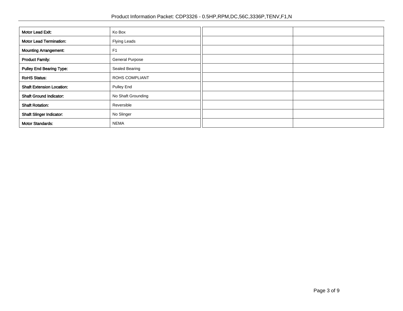| Motor Lead Exit:                 | Ko Box                 |  |
|----------------------------------|------------------------|--|
| <b>Motor Lead Termination:</b>   | Flying Leads           |  |
| <b>Mounting Arrangement:</b>     | F <sub>1</sub>         |  |
| <b>Product Family:</b>           | <b>General Purpose</b> |  |
| <b>Pulley End Bearing Type:</b>  | Sealed Bearing         |  |
| <b>RoHS Status:</b>              | ROHS COMPLIANT         |  |
| <b>Shaft Extension Location:</b> | Pulley End             |  |
| <b>Shaft Ground Indicator:</b>   | No Shaft Grounding     |  |
| <b>Shaft Rotation:</b>           | Reversible             |  |
| <b>Shaft Slinger Indicator:</b>  | No Slinger             |  |
| <b>Motor Standards:</b>          | <b>NEMA</b>            |  |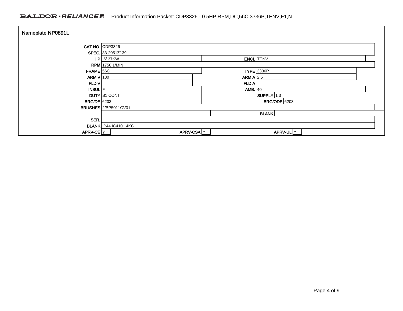### BALDOR · RELIANCE F Product Information Packet: CDP3326 - 0.5HP,RPM,DC,56C,3336P,TENV,F1,N

| Nameplate NP0891L  |                                   |              |                   |  |  |
|--------------------|-----------------------------------|--------------|-------------------|--|--|
|                    | $CAT.NO.$ CDP3326                 |              |                   |  |  |
|                    | SPEC. 33-2051Z139                 |              |                   |  |  |
|                    | $HP$ .5/.37KW<br><b>ENCL</b> TENV |              |                   |  |  |
|                    | <b>RPM</b> 1750 1/MIN             |              |                   |  |  |
| $FRAME$ 56C        |                                   |              | <b>TYPE</b> 3336P |  |  |
| ARM V 180          |                                   | ARM A $ 2.5$ |                   |  |  |
| FLD V              |                                   | FLD A        |                   |  |  |
| INSUL F            |                                   | AMB. $40$    |                   |  |  |
|                    | <b>DUTY</b> S1 CONT               |              | $SUPPLY$ 1.3      |  |  |
| <b>BRG/DE</b> 6203 | <b>BRG/ODE</b> 6203               |              |                   |  |  |
|                    | <b>BRUSHES</b> 2/BP5011CV01       |              |                   |  |  |
|                    |                                   |              | <b>BLANK</b>      |  |  |
| SER.               |                                   |              |                   |  |  |
|                    | <b>BLANK IP44 IC410 14KG</b>      |              |                   |  |  |
| APRV-CE Y          | APRV-CSAY                         |              | APRV-UL Y         |  |  |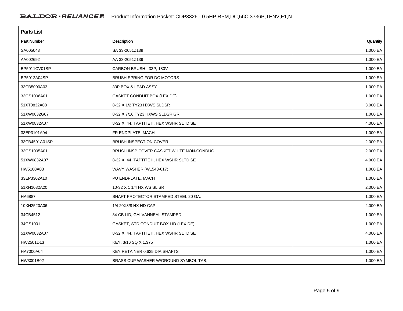| <b>Parts List</b>  |                                           |          |  |
|--------------------|-------------------------------------------|----------|--|
| <b>Part Number</b> | Description                               | Quantity |  |
| SA005043           | SA 33-2051Z139                            | 1.000 EA |  |
| AA002692           | AA 33-2051Z139                            | 1.000 EA |  |
| BP5011CV01SP       | CARBON BRUSH - 33P, 180V                  | 1.000 EA |  |
| BP5012A04SP        | BRUSH SPRING FOR DC MOTORS                | 1.000 EA |  |
| 33CB5000A03        | 33P BOX & LEAD ASSY                       | 1.000 EA |  |
| 33GS1006A01        | <b>GASKET CONDUIT BOX (LEXIDE)</b>        | 1.000 EA |  |
| 51XT0832A08        | 8-32 X 1/2 TY23 HXWS SLDSR                | 3.000 EA |  |
| 51XW0832G07        | 8-32 X 7/16 TY23 HXWS SLDSR GR            | 1.000 EA |  |
| 51XW0832A07        | 8-32 X .44, TAPTITE II, HEX WSHR SLTD SE  | 4.000 EA |  |
| 33EP3101A04        | FR ENDPLATE, MACH                         | 1.000 EA |  |
| 33CB4501A01SP      | BRUSH INSPECTION COVER                    | 2.000 EA |  |
| 33GS1005A01        | BRUSH INSP COVER GASKET, WHITE NON-CONDUC | 2.000 EA |  |
| 51XW0832A07        | 8-32 X .44, TAPTITE II, HEX WSHR SLTD SE  | 4.000 EA |  |
| HW5100A03          | WAVY WASHER (W1543-017)                   | 1.000 EA |  |
| 33EP3302A10        | PU ENDPLATE, MACH                         | 1.000 EA |  |
| 51XN1032A20        | 10-32 X 1 1/4 HX WS SL SR                 | 2.000 EA |  |
| HA6887             | SHAFT PROTECTOR STAMPED STEEL 20 GA.      | 1.000 EA |  |
| 10XN2520A06        | 1/4 20X3/8 HX HD CAP                      | 2.000 EA |  |
| 34CB4512           | 34 CB LID, GALVANNEAL STAMPED             | 1.000 EA |  |
| 34GS1001           | GASKET, STD CONDUIT BOX LID (LEXIDE)      | 1.000 EA |  |
| 51XW0832A07        | 8-32 X .44, TAPTITE II, HEX WSHR SLTD SE  | 4.000 EA |  |
| HW2501D13          | KEY, 3/16 SQ X 1.375                      | 1.000 EA |  |
| HA7000A04          | KEY RETAINER 0.625 DIA SHAFTS             | 1.000 EA |  |
| HW3001B02          | BRASS CUP WASHER W/GROUND SYMBOL TAB,     | 1.000 EA |  |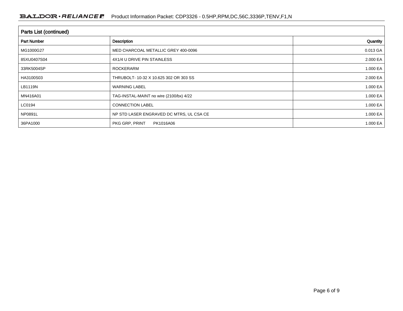| <b>Parts List (continued)</b> |                                          |          |  |
|-------------------------------|------------------------------------------|----------|--|
| <b>Part Number</b>            | Description                              | Quantity |  |
| MG1000G27                     | MED CHARCOAL METALLIC GREY 400-0096      | 0.013 GA |  |
| 85XU0407S04                   | 4X1/4 U DRIVE PIN STAINLESS              | 2.000 EA |  |
| 33RK5004SP                    | <b>ROCKERARM</b>                         | 1.000 EA |  |
| HA3100S03                     | THRUBOLT- 10-32 X 10.625 302 OR 303 SS   | 2.000 EA |  |
| LB1119N                       | <b>WARNING LABEL</b>                     | 1.000 EA |  |
| MN416A01                      | TAG-INSTAL-MAINT no wire (2100/bx) 4/22  | 1.000 EA |  |
| LC0194                        | <b>CONNECTION LABEL</b>                  | 1.000 EA |  |
| NP0891L                       | NP STD LASER ENGRAVED DC MTRS, UL CSA CE | 1.000 EA |  |
| 36PA1000                      | PKG GRP, PRINT<br>PK1016A06              | 1.000 EA |  |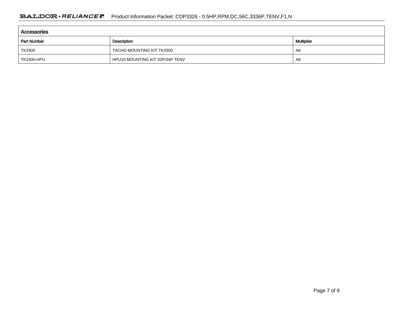| Accessories        |                                 |                   |  |
|--------------------|---------------------------------|-------------------|--|
| <b>Part Number</b> | Description                     | <b>Multiplier</b> |  |
| TK3300             | TACHO MOUNTING KIT TK3300       | A8                |  |
| TK3300-HPU         | HPU10 MOUNTING KIT 33P/34P TENV | A8                |  |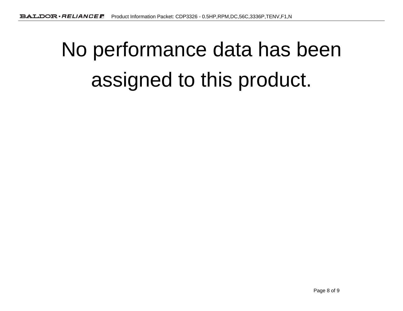# No performance data has beenassigned to this product.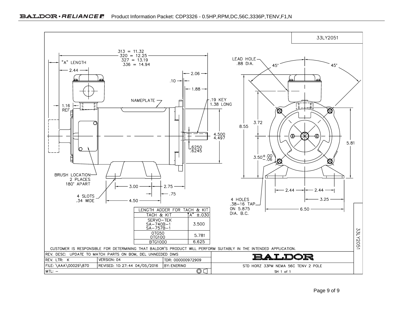